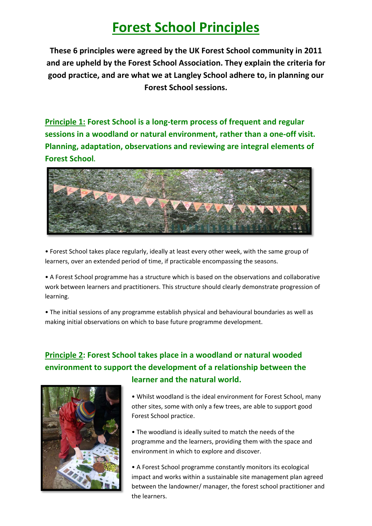# **Forest School Principles**

**These 6 principles were agreed by the UK Forest School community in 2011 and are upheld by the Forest School Association. They explain the criteria for good practice, and are what we at Langley School adhere to, in planning our Forest School sessions.** 

**Principle 1: Forest School is a long-term process of frequent and regular sessions in a woodland or natural environment, rather than a one-off visit. Planning, adaptation, observations and reviewing are integral elements of Forest School.**



• Forest School takes place regularly, ideally at least every other week, with the same group of learners, over an extended period of time, if practicable encompassing the seasons.

• A Forest School programme has a structure which is based on the observations and collaborative work between learners and practitioners. This structure should clearly demonstrate progression of learning.

• The initial sessions of any programme establish physical and behavioural boundaries as well as making initial observations on which to base future programme development.

### **Principle 2: Forest School takes place in a woodland or natural wooded environment to support the development of a relationship between the learner and the natural world.**



• Whilst woodland is the ideal environment for Forest School, many other sites, some with only a few trees, are able to support good Forest School practice.

• The woodland is ideally suited to match the needs of the programme and the learners, providing them with the space and environment in which to explore and discover.

• A Forest School programme constantly monitors its ecological impact and works within a sustainable site management plan agreed between the landowner/ manager, the forest school practitioner and the learners.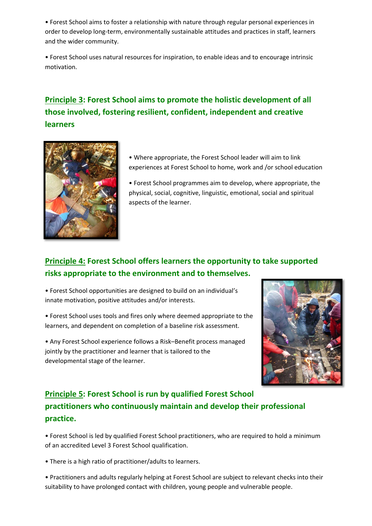• Forest School aims to foster a relationship with nature through regular personal experiences in order to develop long-term, environmentally sustainable attitudes and practices in staff, learners and the wider community.

• Forest School uses natural resources for inspiration, to enable ideas and to encourage intrinsic motivation.

## **Principle 3: Forest School aims to promote the holistic development of all those involved, fostering resilient, confident, independent and creative learners**



• Where appropriate, the Forest School leader will aim to link experiences at Forest School to home, work and /or school education

• Forest School programmes aim to develop, where appropriate, the physical, social, cognitive, linguistic, emotional, social and spiritual aspects of the learner.

### **Principle 4: Forest School offers learners the opportunity to take supported risks appropriate to the environment and to themselves.**

• Forest School opportunities are designed to build on an individual's innate motivation, positive attitudes and/or interests.

• Forest School uses tools and fires only where deemed appropriate to the learners, and dependent on completion of a baseline risk assessment.

• Any Forest School experience follows a Risk–Benefit process managed jointly by the practitioner and learner that is tailored to the developmental stage of the learner.



## **Principle 5: Forest School is run by qualified Forest School practitioners who continuously maintain and develop their professional practice.**

• Forest School is led by qualified Forest School practitioners, who are required to hold a minimum of an accredited Level 3 Forest School qualification.

• There is a high ratio of practitioner/adults to learners.

• Practitioners and adults regularly helping at Forest School are subject to relevant checks into their suitability to have prolonged contact with children, young people and vulnerable people.